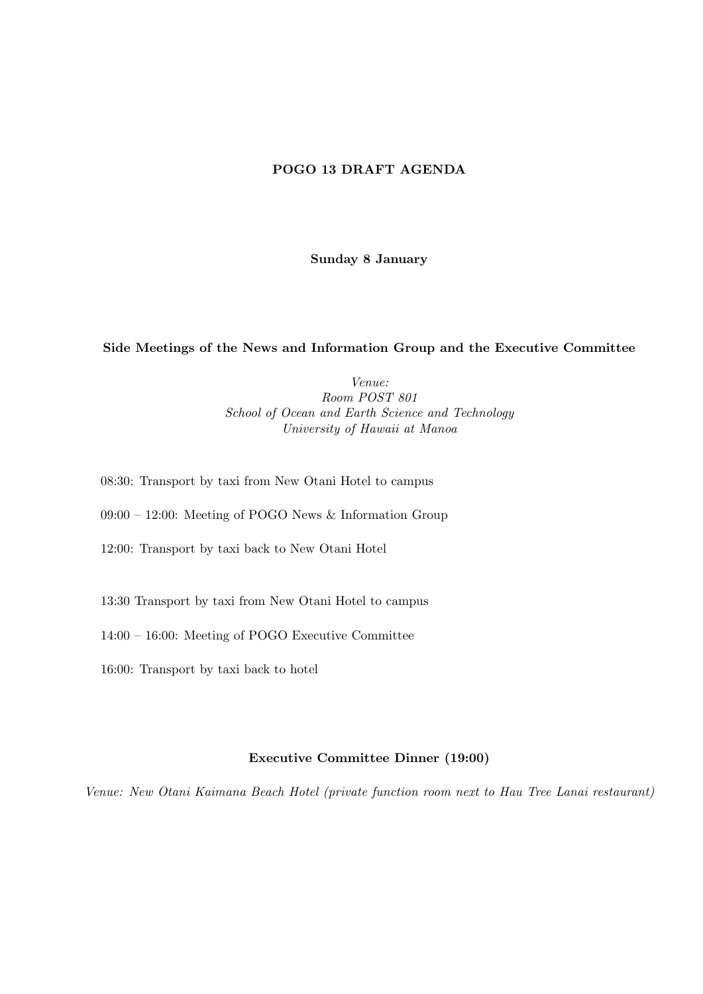# POGO 13 DRAFT AGENDA

Sunday 8 January

### Side Meetings of the News and Information Group and the Executive Committee

Venue: Room POST 801 School of Ocean and Earth Science and Technology University of Hawaii at Manoa

- 08:30: Transport by taxi from New Otani Hotel to campus
- 09:00 12:00: Meeting of POGO News & Information Group
- 12:00: Transport by taxi back to New Otani Hotel
- 13:30 Transport by taxi from New Otani Hotel to campus
- 14:00 16:00: Meeting of POGO Executive Committee
- 16:00: Transport by taxi back to hotel

### Executive Committee Dinner (19:00)

Venue: New Otani Kaimana Beach Hotel (private function room next to Hau Tree Lanai restaurant)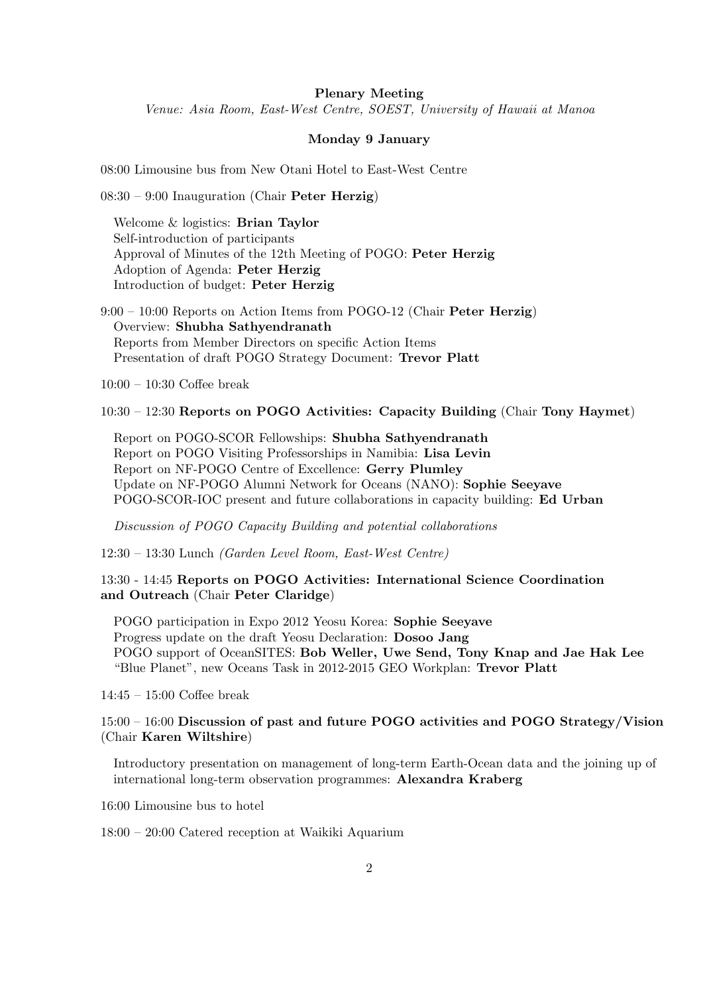#### Plenary Meeting

Venue: Asia Room, East-West Centre, SOEST, University of Hawaii at Manoa

#### Monday 9 January

08:00 Limousine bus from New Otani Hotel to East-West Centre

08:30 – 9:00 Inauguration (Chair Peter Herzig)

Welcome & logistics: Brian Taylor Self-introduction of participants Approval of Minutes of the 12th Meeting of POGO: Peter Herzig Adoption of Agenda: Peter Herzig Introduction of budget: Peter Herzig

9:00 – 10:00 Reports on Action Items from POGO-12 (Chair Peter Herzig) Overview: Shubha Sathyendranath Reports from Member Directors on specific Action Items Presentation of draft POGO Strategy Document: Trevor Platt

10:00 – 10:30 Coffee break

10:30 – 12:30 Reports on POGO Activities: Capacity Building (Chair Tony Haymet)

[Report on POGO-SCOR Fellowships:](http://ocean-partners.org/attachments/907_2.1.1.Fellowships.pdf) Shubha Sathyendranath [Report on POGO Visiting Professorships in Namibia:](http://ocean-partners.org/attachments/907_2.1.2.Professorships.pdf) Lisa Levin [Report on NF-POGO Centre of Excellence:](http://ocean-partners.org/attachments/907_2.1.5.Part1-CofE-yr3-report.pdf) Gerry Plumley [Update on NF-POGO Alumni Network for Oceans \(NANO\):](http://ocean-partners.org/attachments/907_2.1.6.NANO-progress-report-2010-11.pdf) Sophie Seeyave POGO-SCOR-IOC present and future collaborations in capacity building: Ed Urban

Discussion of POGO Capacity Building and potential collaborations

12:30 – 13:30 Lunch (Garden Level Room, East-West Centre)

13:30 - 14:45 Reports on POGO Activities: International Science Coordination and Outreach (Chair Peter Claridge)

POGO participation in Expo 2012 Yeosu Korea: Sophie Seeyave [Progress update on the draft Yeosu Declaration](http://ocean-partners.org/attachments/907_Update_Yeosu_Declaration-Dosoo_Jang.pdf): Dosoo Jang [POGO support of OceanSITES](http://ocean-partners.org/attachments/907_OceanSITES-JHLee.pdf): Bob Weller, Uwe Send, Tony Knap and Jae Hak Lee ["Blue Planet", new Oceans Task in 2012-2015 GEO Workplan:](http://ocean-partners.org/attachments/907_GEO_blueplanet_POGO.pdf) Trevor Platt

14:45 – 15:00 Coffee break

## 15:00 – 16:00 Discussion of past and future POGO activities and POGO Strategy/Vision (Chair Karen Wiltshire)

Introductory presentation on management of long-term Earth-Ocean data and the joining up of international long-term observation programmes: Alexandra Kraberg

16:00 Limousine bus to hotel

18:00 – 20:00 Catered reception at Waikiki Aquarium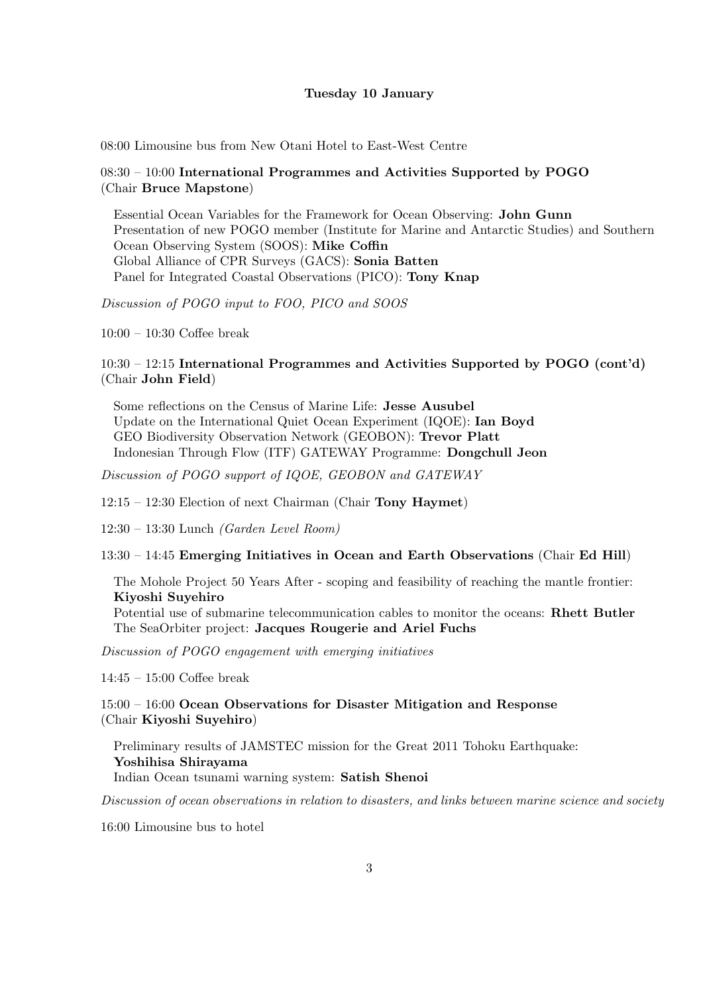#### Tuesday 10 January

08:00 Limousine bus from New Otani Hotel to East-West Centre

### $08:30 - 10:00$  International Programmes and Activities Supported by POGO (Chair Bruce Mapstone)

Essential Ocean Variables for the Framework for Ocean Observing: John Gunn Presentation of new POGO member (Institute for Marine and Antarctic Studies) and Southern Ocean Observing System (SOOS): Mike Coffin [Global Alliance of CPR Surveys \(GACS\):](http://ocean-partners.org/attachments/907_2.2.2.GACS_MoU.pdf) Sonia Batten [Panel for Integrated Coastal Observations \(PICO\):](http://ocean-partners.org/attachments/907_2.2.1.PICO.pdf) Tony Knap

Discussion of POGO input to FOO, PICO and SOOS

10:00 – 10:30 Coffee break

### 10:30 – 12:15 International Programmes and Activities Supported by POGO (cont'd) (Chair John Field)

[Some reflections on the Census of Marine Life:](http://ocean-partners.org/attachments/907_2.2.3.CoML.pdf) Jesse Ausubel Update on the International Quiet Ocean Experiment (IQOE): Ian Boyd [GEO Biodiversity Observation Network \(GEOBON\)](http://ocean-partners.org/attachments/907_2.2.4.GEOBON.pdf): Trevor Platt Indonesian Through Flow (ITF) GATEWAY Programme: Dongchull Jeon

Discussion of POGO support of IQOE, GEOBON and GATEWAY

12:15 – 12:30 Election of next Chairman (Chair Tony Haymet)

12:30 – 13:30 Lunch (Garden Level Room)

13:30 – 14:45 Emerging Initiatives in Ocean and Earth Observations (Chair Ed Hill)

The Mohole Project 50 Years After - scoping and feasibility of reaching the mantle frontier: Kiyoshi Suyehiro

Potential use of submarine telecommunication cables to monitor the oceans: Rhett Butler [The SeaOrbiter project:](http://ocean-partners.org/attachments/907_2.3.1.SeaOrbiter.pdf) Jacques Rougerie and Ariel Fuchs

Discussion of POGO engagement with emerging initiatives

14:45 – 15:00 Coffee break

15:00 – 16:00 Ocean Observations for Disaster Mitigation and Response (Chair Kiyoshi Suyehiro)

Preliminary results of JAMSTEC mission for the Great 2011 Tohoku Earthquake: Yoshihisa Shirayama Indian Ocean tsunami warning system: Satish Shenoi

Discussion of ocean observations in relation to disasters, and links between marine science and society

16:00 Limousine bus to hotel